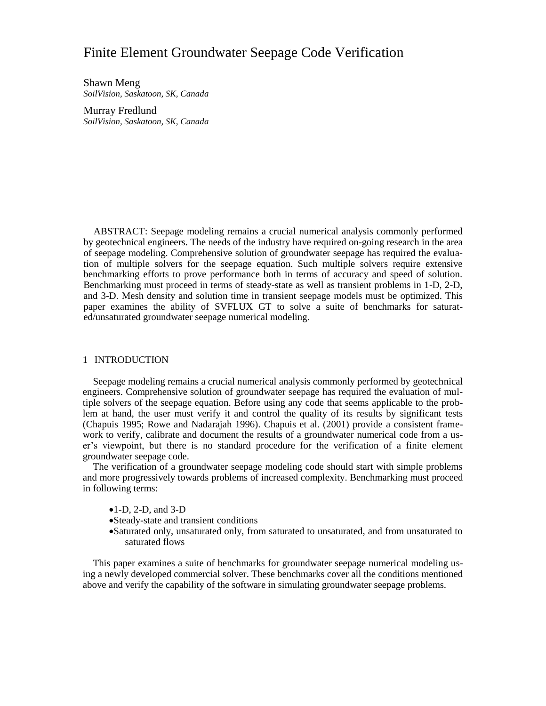# Finite Element Groundwater Seepage Code Verification

Shawn Meng *SoilVision, Saskatoon, SK, Canada*

Murray Fredlund *SoilVision, Saskatoon, SK, Canada*

ABSTRACT: Seepage modeling remains a crucial numerical analysis commonly performed by geotechnical engineers. The needs of the industry have required on-going research in the area of seepage modeling. Comprehensive solution of groundwater seepage has required the evaluation of multiple solvers for the seepage equation. Such multiple solvers require extensive benchmarking efforts to prove performance both in terms of accuracy and speed of solution. Benchmarking must proceed in terms of steady-state as well as transient problems in 1-D, 2-D, and 3-D. Mesh density and solution time in transient seepage models must be optimized. This paper examines the ability of SVFLUX GT to solve a suite of benchmarks for saturated/unsaturated groundwater seepage numerical modeling.

## 1 INTRODUCTION

Seepage modeling remains a crucial numerical analysis commonly performed by geotechnical engineers. Comprehensive solution of groundwater seepage has required the evaluation of multiple solvers of the seepage equation. Before using any code that seems applicable to the problem at hand, the user must verify it and control the quality of its results by significant tests (Chapuis 1995; Rowe and Nadarajah 1996). Chapuis et al. (2001) provide a consistent framework to verify, calibrate and document the results of a groundwater numerical code from a user's viewpoint, but there is no standard procedure for the verification of a finite element groundwater seepage code.

The verification of a groundwater seepage modeling code should start with simple problems and more progressively towards problems of increased complexity. Benchmarking must proceed in following terms:

- $\bullet$ 1-D, 2-D, and 3-D
- Steady-state and transient conditions
- Saturated only, unsaturated only, from saturated to unsaturated, and from unsaturated to saturated flows

This paper examines a suite of benchmarks for groundwater seepage numerical modeling using a newly developed commercial solver. These benchmarks cover all the conditions mentioned above and verify the capability of the software in simulating groundwater seepage problems.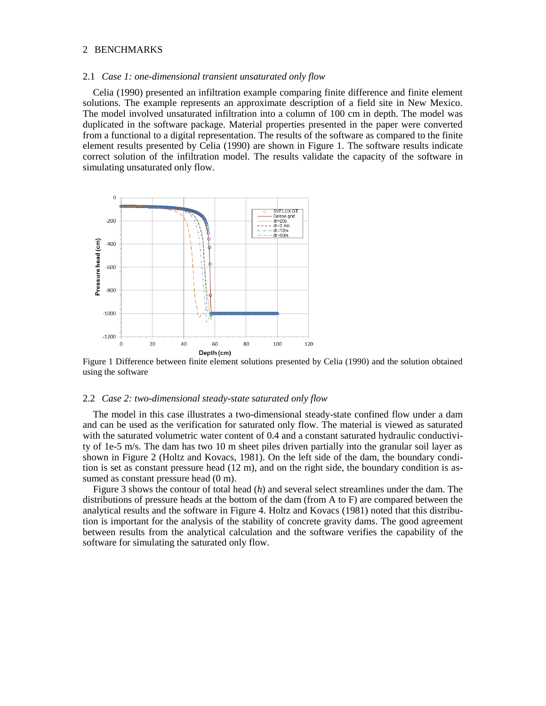## 2 BENCHMARKS

#### 2.1 *Case 1: one-dimensional transient unsaturated only flow*

Celia (1990) presented an infiltration example comparing finite difference and finite element solutions. The example represents an approximate description of a field site in New Mexico. The model involved unsaturated infiltration into a column of 100 cm in depth. The model was duplicated in the software package. Material properties presented in the paper were converted from a functional to a digital representation. The results of the software as compared to the finite element results presented by Celia (1990) are shown in Figure 1. The software results indicate correct solution of the infiltration model. The results validate the capacity of the software in simulating unsaturated only flow.



Figure 1 Difference between finite element solutions presented by Celia (1990) and the solution obtained using the software

#### 2.2 *Case 2: two-dimensional steady-state saturated only flow*

The model in this case illustrates a two-dimensional steady-state confined flow under a dam and can be used as the verification for saturated only flow. The material is viewed as saturated with the saturated volumetric water content of 0.4 and a constant saturated hydraulic conductivity of 1e-5 m/s. The dam has two 10 m sheet piles driven partially into the granular soil layer as shown in Figure 2 (Holtz and Kovacs, 1981). On the left side of the dam, the boundary condition is set as constant pressure head (12 m), and on the right side, the boundary condition is assumed as constant pressure head  $(0 \text{ m})$ .

Figure 3 shows the contour of total head (*h*) and several select streamlines under the dam. The distributions of pressure heads at the bottom of the dam (from A to F) are compared between the analytical results and the software in Figure 4. Holtz and Kovacs (1981) noted that this distribution is important for the analysis of the stability of concrete gravity dams. The good agreement between results from the analytical calculation and the software verifies the capability of the software for simulating the saturated only flow.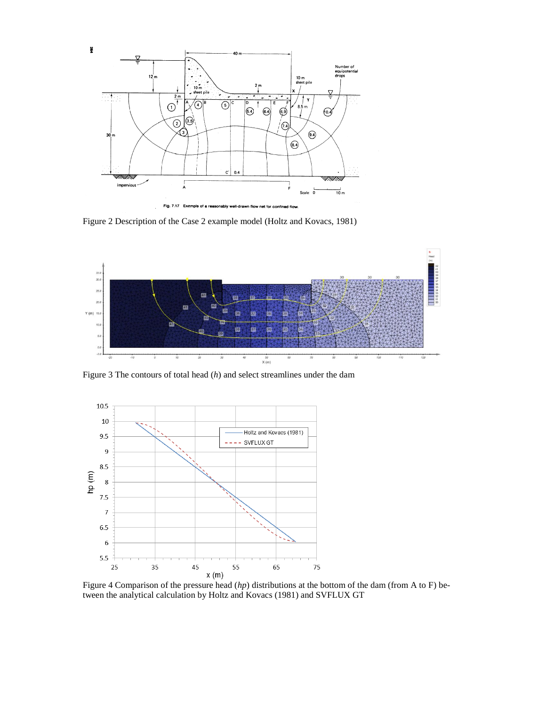

Figure 2 Description of the Case 2 example model (Holtz and Kovacs, 1981)



Figure 3 The contours of total head (*h*) and select streamlines under the dam



Figure 4 Comparison of the pressure head (*hp*) distributions at the bottom of the dam (from A to F) between the analytical calculation by Holtz and Kovacs (1981) and SVFLUX GT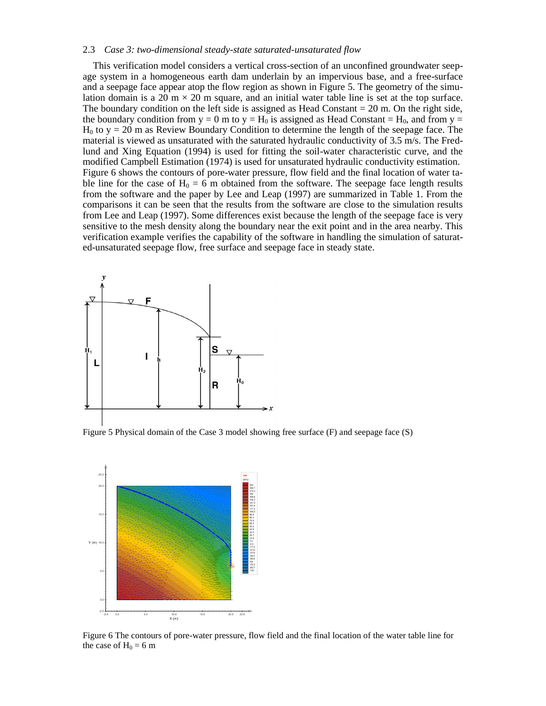## 2.3 *Case 3: two-dimensional steady-state saturated-unsaturated flow*

This verification model considers a vertical cross-section of an unconfined groundwater seepage system in a homogeneous earth dam underlain by an impervious base, and a free-surface and a seepage face appear atop the flow region as shown in Figure 5. The geometry of the simulation domain is a 20 m  $\times$  20 m square, and an initial water table line is set at the top surface. The boundary condition on the left side is assigned as Head Constant  $= 20$  m. On the right side, the boundary condition from  $y = 0$  m to  $y = H_0$  is assigned as Head Constant = H<sub>0</sub>, and from  $y =$  $H_0$  to  $y = 20$  m as Review Boundary Condition to determine the length of the seepage face. The material is viewed as unsaturated with the saturated hydraulic conductivity of 3.5 m/s. The Fredlund and Xing Equation (1994) is used for fitting the soil-water characteristic curve, and the modified Campbell Estimation (1974) is used for unsaturated hydraulic conductivity estimation. Figure 6 shows the contours of pore-water pressure, flow field and the final location of water table line for the case of  $H_0 = 6$  m obtained from the software. The seepage face length results from the software and the paper by Lee and Leap (1997) are summarized in Table 1. From the comparisons it can be seen that the results from the software are close to the simulation results from Lee and Leap (1997). Some differences exist because the length of the seepage face is very sensitive to the mesh density along the boundary near the exit point and in the area nearby. This verification example verifies the capability of the software in handling the simulation of saturated-unsaturated seepage flow, free surface and seepage face in steady state.



Figure 5 Physical domain of the Case 3 model showing free surface (F) and seepage face (S)



Figure 6 The contours of pore-water pressure, flow field and the final location of the water table line for the case of  $H_0 = 6$  m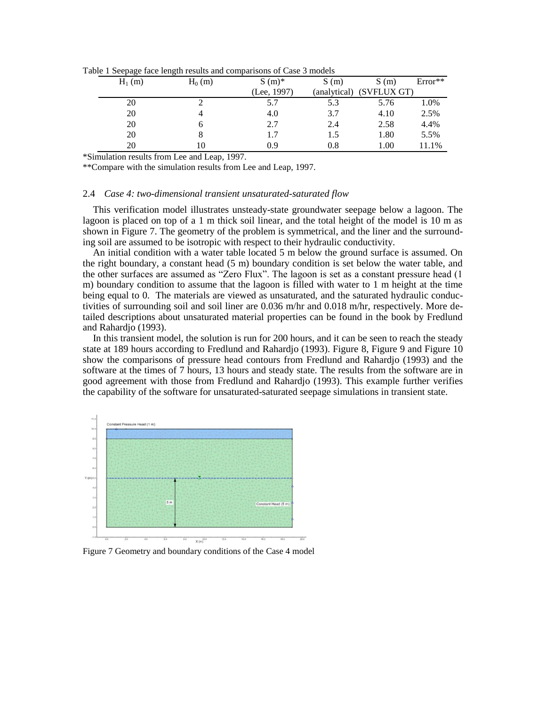| able T beeping take temper results and comparisons of $\cos \theta$ models |          |          |             |              |             |           |
|----------------------------------------------------------------------------|----------|----------|-------------|--------------|-------------|-----------|
|                                                                            | $H_1(m)$ | $H_0(m)$ | $S(m)^*$    | S(m)         | S(m)        | $Error**$ |
|                                                                            |          |          | (Lee, 1997) | (analytical) | (SVFLUX GT) |           |
|                                                                            | 20       |          | 5.7         | 5.3          | 5.76        | 1.0%      |
|                                                                            | 20       |          | 4.0         | 3.7          | 4.10        | 2.5%      |
|                                                                            | 20       |          | 2.7         | 2.4          | 2.58        | 4.4%      |
|                                                                            | 20       |          | 1.7         | 1.5          | 1.80        | 5.5%      |
|                                                                            | 20       |          | 0.9         | 0.8          | 1.00        | 11.1%     |

Table 1 Seepage face length results and comparisons of Case 3 models

\*Simulation results from Lee and Leap, 1997.

\*\*Compare with the simulation results from Lee and Leap, 1997.

#### 2.4 *Case 4: two-dimensional transient unsaturated-saturated flow*

This verification model illustrates unsteady-state groundwater seepage below a lagoon. The lagoon is placed on top of a 1 m thick soil linear, and the total height of the model is 10 m as shown in Figure 7. The geometry of the problem is symmetrical, and the liner and the surrounding soil are assumed to be isotropic with respect to their hydraulic conductivity.

An initial condition with a water table located 5 m below the ground surface is assumed. On the right boundary, a constant head (5 m) boundary condition is set below the water table, and the other surfaces are assumed as "Zero Flux". The lagoon is set as a constant pressure head (1 m) boundary condition to assume that the lagoon is filled with water to 1 m height at the time being equal to 0. The materials are viewed as unsaturated, and the saturated hydraulic conductivities of surrounding soil and soil liner are 0.036 m/hr and 0.018 m/hr, respectively. More detailed descriptions about unsaturated material properties can be found in the book by Fredlund and Rahardjo (1993).

In this transient model, the solution is run for 200 hours, and it can be seen to reach the steady state at 189 hours according to Fredlund and Rahardjo (1993). Figure 8, Figure 9 and Figure 10 show the comparisons of pressure head contours from Fredlund and Rahardjo (1993) and the software at the times of 7 hours, 13 hours and steady state. The results from the software are in good agreement with those from Fredlund and Rahardjo (1993). This example further verifies the capability of the software for unsaturated-saturated seepage simulations in transient state.



Figure 7 Geometry and boundary conditions of the Case 4 model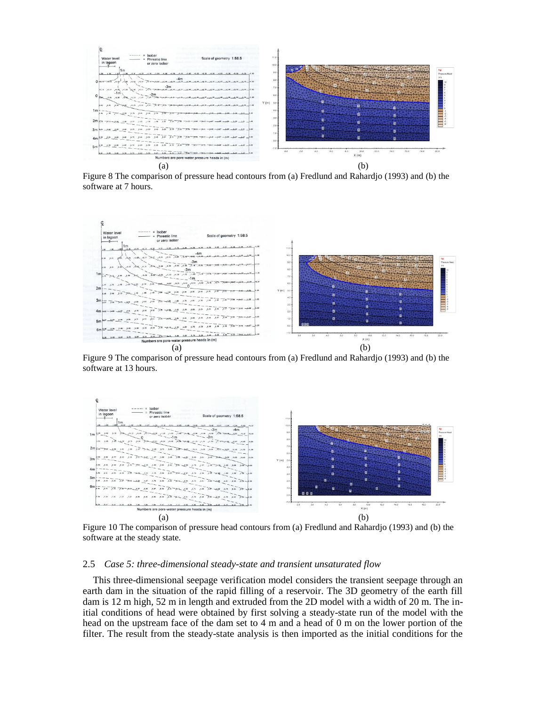

Figure 8 The comparison of pressure head contours from (a) Fredlund and Rahardjo (1993) and (b) the software at 7 hours.



Figure 9 The comparison of pressure head contours from (a) Fredlund and Rahardjo (1993) and (b) the software at 13 hours.



Figure 10 The comparison of pressure head contours from (a) Fredlund and Rahardjo (1993) and (b) the software at the steady state.

## 2.5 *Case 5: three-dimensional steady-state and transient unsaturated flow*

This three-dimensional seepage verification model considers the transient seepage through an earth dam in the situation of the rapid filling of a reservoir. The 3D geometry of the earth fill dam is 12 m high, 52 m in length and extruded from the 2D model with a width of 20 m. The initial conditions of head were obtained by first solving a steady-state run of the model with the head on the upstream face of the dam set to 4 m and a head of 0 m on the lower portion of the filter. The result from the steady-state analysis is then imported as the initial conditions for the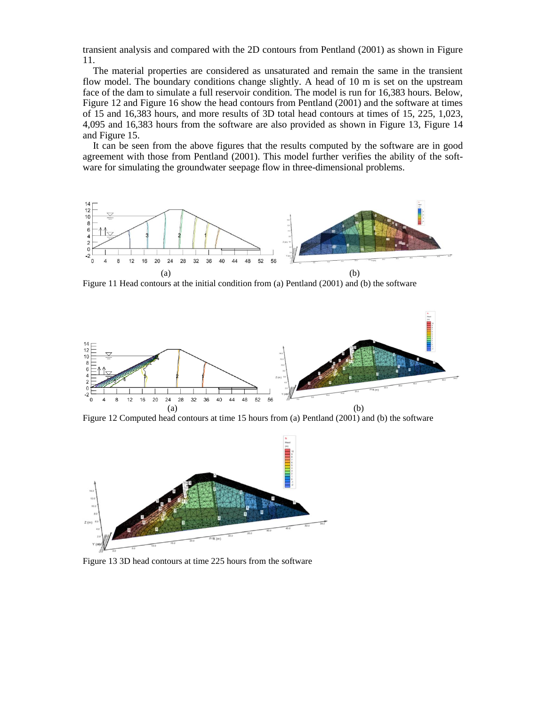transient analysis and compared with the 2D contours from Pentland (2001) as shown in Figure 11.

The material properties are considered as unsaturated and remain the same in the transient flow model. The boundary conditions change slightly. A head of 10 m is set on the upstream face of the dam to simulate a full reservoir condition. The model is run for 16,383 hours. Below, Figure 12 and Figure 16 show the head contours from Pentland (2001) and the software at times of 15 and 16,383 hours, and more results of 3D total head contours at times of 15, 225, 1,023, 4,095 and 16,383 hours from the software are also provided as shown in Figure 13, Figure 14 and Figure 15.

It can be seen from the above figures that the results computed by the software are in good agreement with those from Pentland (2001). This model further verifies the ability of the software for simulating the groundwater seepage flow in three-dimensional problems.



Figure 11 Head contours at the initial condition from (a) Pentland (2001) and (b) the software



Figure 12 Computed head contours at time 15 hours from (a) Pentland (2001) and (b) the software



Figure 13 3D head contours at time 225 hours from the software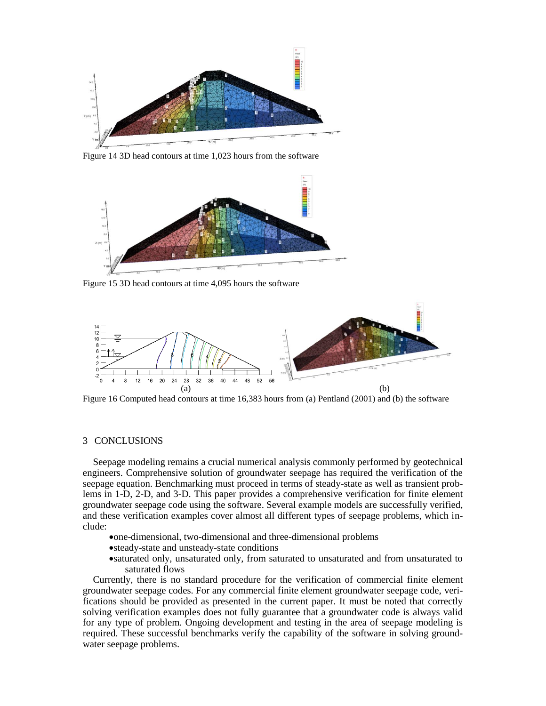

Figure 14 3D head contours at time 1,023 hours from the software



Figure 15 3D head contours at time 4,095 hours the software



Figure 16 Computed head contours at time 16,383 hours from (a) Pentland (2001) and (b) the software

## 3 CONCLUSIONS

Seepage modeling remains a crucial numerical analysis commonly performed by geotechnical engineers. Comprehensive solution of groundwater seepage has required the verification of the seepage equation. Benchmarking must proceed in terms of steady-state as well as transient problems in 1-D, 2-D, and 3-D. This paper provides a comprehensive verification for finite element groundwater seepage code using the software. Several example models are successfully verified, and these verification examples cover almost all different types of seepage problems, which include:

- one-dimensional, two-dimensional and three-dimensional problems
- steady-state and unsteady-state conditions
- saturated only, unsaturated only, from saturated to unsaturated and from unsaturated to saturated flows

Currently, there is no standard procedure for the verification of commercial finite element groundwater seepage codes. For any commercial finite element groundwater seepage code, verifications should be provided as presented in the current paper. It must be noted that correctly solving verification examples does not fully guarantee that a groundwater code is always valid for any type of problem. Ongoing development and testing in the area of seepage modeling is required. These successful benchmarks verify the capability of the software in solving groundwater seepage problems.